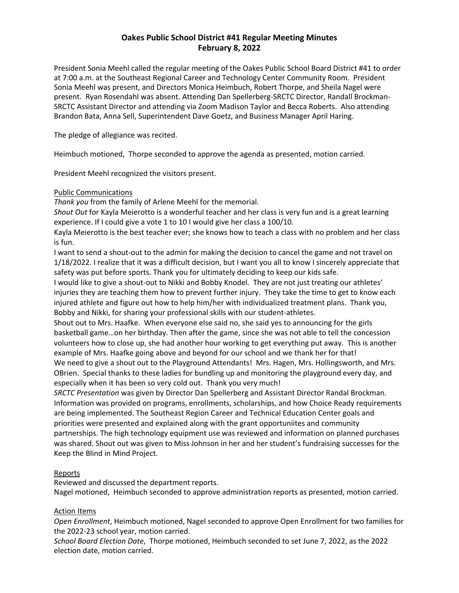# **Oakes Public School District #41 Regular Meeting Minutes February 8, 2022**

President Sonia Meehl called the regular meeting of the Oakes Public School Board District #41 to order at 7:00 a.m. at the Southeast Regional Career and Technology Center Community Room. President Sonia Meehl was present, and Directors Monica Heimbuch, Robert Thorpe, and Sheila Nagel were present. Ryan Rosendahl was absent. Attending Dan Spellerberg-SRCTC Director, Randall Brockman-SRCTC Assistant Director and attending via Zoom Madison Taylor and Becca Roberts. Also attending Brandon Bata, Anna Sell, Superintendent Dave Goetz, and Business Manager April Haring.

The pledge of allegiance was recited.

Heimbuch motioned, Thorpe seconded to approve the agenda as presented, motion carried.

President Meehl recognized the visitors present.

### Public Communications

*Thank you* from the family of Arlene Meehl for the memorial.

*Shout Out* for Kayla Meierotto is a wonderful teacher and her class is very fun and is a great learning experience. If I could give a vote 1 to 10 I would give her class a 100/10.

Kayla Meierotto is the best teacher ever; she knows how to teach a class with no problem and her class is fun.

I want to send a shout-out to the admin for making the decision to cancel the game and not travel on 1/18/2022. I realize that it was a difficult decision, but I want you all to know I sincerely appreciate that safety was put before sports. Thank you for ultimately deciding to keep our kids safe.

I would like to give a shout-out to Nikki and Bobby Knodel. They are not just treating our athletes' injuries they are teaching them how to prevent further injury. They take the time to get to know each injured athlete and figure out how to help him/her with individualized treatment plans. Thank you, Bobby and Nikki, for sharing your professional skills with our student-athletes.

Shout out to Mrs. Haafke. When everyone else said no, she said yes to announcing for the girls basketball game…on her birthday. Then after the game, since she was not able to tell the concession volunteers how to close up, she had another hour working to get everything put away. This is another example of Mrs. Haafke going above and beyond for our school and we thank her for that! We need to give a shout out to the Playground Attendants! Mrs. Hagen, Mrs. Hollingsworth, and Mrs. OBrien. Special thanks to these ladies for bundling up and monitoring the playground every day, and especially when it has been so very cold out. Thank you very much!

*SRCTC Presentation* was given by Director Dan Spellerberg and Assistant Director Randal Brockman. Information was provided on programs, enrollments, scholarships, and how Choice Ready requirements are being implemented. The Southeast Region Career and Technical Education Center goals and priorities were presented and explained along with the grant opportuniites and community partnerships. The high technology equipment use was reviewed and information on planned purchases was shared. Shout out was given to Miss Johnson in her and her student's fundraising successes for the Keep the Blind in Mind Project.

## **Reports**

Reviewed and discussed the department reports. Nagel motioned, Heimbuch seconded to approve administration reports as presented, motion carried.

#### Action Items

*Open Enrollment*, Heimbuch motioned, Nagel seconded to approve Open Enrollment for two families for the 2022-23 school year, motion carried.

*School Board Election Date*, Thorpe motioned, Heimbuch seconded to set June 7, 2022, as the 2022 election date, motion carried.